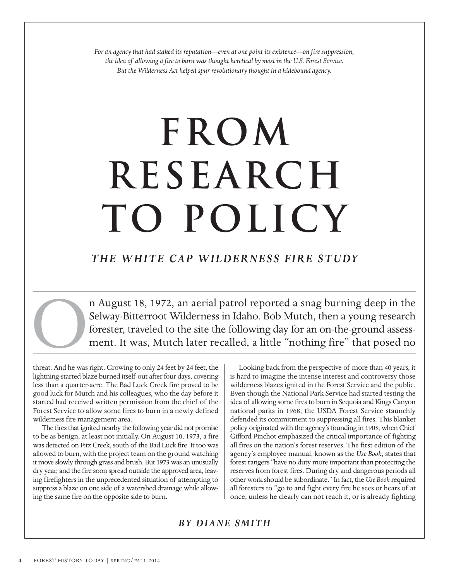*For an agency that had staked its reputation—even at one point its existence—on fire suppression, the idea of allowing a fire to burn was thought heretical by most in the U.S. Forest Service. But the Wilderness Act helped spur revolutionary thought in a hidebound agency.*

# **FROM RESEARCH TO POLICY**

## *THE WHITE CAP WILDERNESS FIRE STUDY*

n August 18, 1972, an aerial patrol reported a snag burning deep in the Selway-Bitterroot Wilderness in Idaho. Bob Mutch, then a young research forester, traveled to the site the following day for an on-the-ground assessment. It was, Mutch later recalled, a little "nothing fire" that posed no

threat. And he was right. Growing to only 24 feet by 24 feet, the lightning-started blaze burned itself out after four days, covering less than a quarter-acre. The Bad Luck Creek fire proved to be good luck for Mutch and his colleagues, who the day before it started had received written permission from the chief of the Forest Service to allow some fires to burn in a newly defined wilderness fire management area.

The fires that ignited nearby the following year did not promise to be as benign, at least not initially. On August 10, 1973, a fire was detected on Fitz Creek, south of the Bad Luck fire. It too was allowed to burn, with the project team on the ground watching it move slowly through grass and brush. But 1973 was an unusually dry year, and the fire soon spread outside the approved area, leaving firefighters in the unprecedented situation of attempting to suppress a blaze on one side of a watershed drainage while allowing the same fire on the opposite side to burn.

Looking back from the perspective of more than 40 years, it is hard to imagine the intense interest and controversy those wilderness blazes ignited in the Forest Service and the public. Even though the National Park Service had started testing the idea of allowing some fires to burn in Sequoia and Kings Canyon national parks in 1968, the USDA Forest Service staunchly defended its commitment to suppressing all fires. This blanket policy originated with the agency's founding in 1905, when Chief Gifford Pinchot emphasized the critical importance of fighting all fires on the nation's forest reserves. The first edition of the agency's employee manual, known as the *Use Book*, states that forest rangers "have no duty more important than protecting the reserves from forest fires. During dry and dangerous periods all other work should be subordinate." In fact, the *Use Book* required all foresters to "go to and fight every fire he sees or hears of at once, unless he clearly can not reach it, or is already fighting

### *BY DIANE SMITH*

O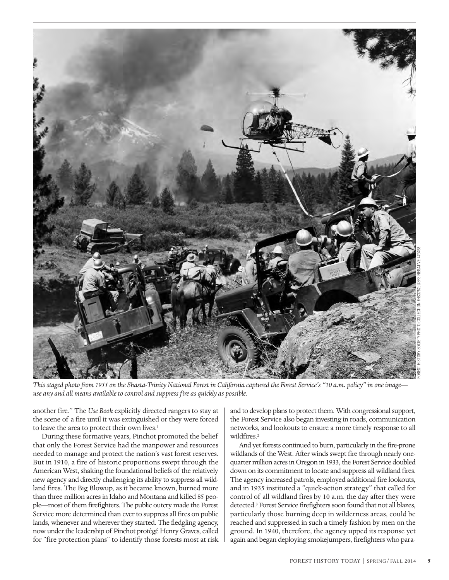

*This staged photo from 1955 on the Shasta-Trinity National Forest in California captured the Forest Service's "10 a.m. policy" in one image use any and all means available to control and suppress fire as quickly as possible.*

another fire." The *Use Book* explicitly directed rangers to stay at the scene of a fire until it was extinguished or they were forced to leave the area to protect their own lives.<sup>1</sup>

During these formative years, Pinchot promoted the belief that only the Forest Service had the manpower and resources needed to manage and protect the nation's vast forest reserves. But in 1910, a fire of historic proportions swept through the American West, shaking the foundational beliefs of the relatively new agency and directly challenging its ability to suppress all wildland fires. The Big Blowup, as it became known, burned more than three million acres in Idaho and Montana and killed 85 people—most of them firefighters. The public outcry made the Forest Service more determined than ever to suppress all fires on public lands, whenever and wherever they started. The fledgling agency, now under the leadership of Pinchot protégé Henry Graves, called for "fire protection plans" to identify those forests most at risk

and to develop plans to protect them. With congressional support, the Forest Service also began investing in roads, communication networks, and lookouts to ensure a more timely response to all wildfires.<sup>2</sup>

And yet forests continued to burn, particularly in the fire-prone wildlands of the West. After winds swept fire through nearly onequarter million acres in Oregon in 1933, the Forest Service doubled down on its commitment to locate and suppress all wildland fires. The agency increased patrols, employed additional fire lookouts, and in 1935 instituted a "quick-action strategy" that called for control of all wildland fires by 10 a.m. the day after they were detected.3 Forest Service firefighters soon found that not all blazes, particularly those burning deep in wilderness areas, could be reached and suppressed in such a timely fashion by men on the ground. In 1940, therefore, the agency upped its response yet again and began deploying smokejumpers, firefighters who para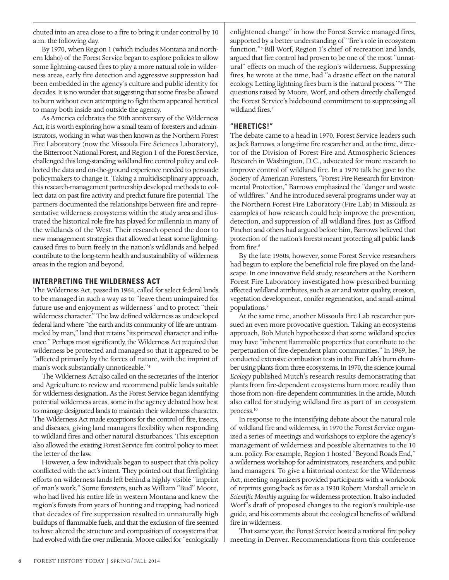chuted into an area close to a fire to bring it under control by 10 a.m. the following day.

By 1970, when Region 1 (which includes Montana and northern Idaho) of the Forest Service began to explore policies to allow some lightning-caused fires to play a more natural role in wilderness areas, early fire detection and aggressive suppression had been embedded in the agency's culture and public identity for decades. It is no wonder that suggesting that some fires be allowed to burn without even attempting to fight them appeared heretical to many both inside and outside the agency.

As America celebrates the 50th anniversary of the Wilderness Act, it is worth exploring how a small team of foresters and administrators, working in what was then known as the Northern Forest Fire Laboratory (now the Missoula Fire Sciences Laboratory), the Bitterroot National Forest, and Region 1 of the Forest Service, challenged this long-standing wildland fire control policy and collected the data and on-the-ground experience needed to persuade policymakers to change it. Taking a multidisciplinary approach, this research-management partnership developed methods to collect data on past fire activity and predict future fire potential. The partners documented the relationships between fire and representative wilderness ecosystems within the study area and illustrated the historical role fire has played for millennia in many of the wildlands of the West. Their research opened the door to new management strategies that allowed at least some lightningcaused fires to burn freely in the nation's wildlands and helped contribute to the long-term health and sustainability of wilderness areas in the region and beyond.

#### **INTERPRETING THE WILDERNESS ACT**

The Wilderness Act, passed in 1964, called for select federal lands to be managed in such a way as to "leave them unimpaired for future use and enjoyment as wilderness" and to protect "their wilderness character." The law defined wilderness as undeveloped federal land where "the earth and its community of life are untrammeled by man," land that retains "its primeval character and influence." Perhaps most significantly, the Wilderness Act required that wilderness be protected and managed so that it appeared to be "affected primarily by the forces of nature, with the imprint of man's work substantially unnoticeable."4

The Wilderness Act also called on the secretaries of the Interior and Agriculture to review and recommend public lands suitable for wilderness designation. As the Forest Service began identifying potential wilderness areas, some in the agency debated how best to manage designated lands to maintain their wilderness character. The Wilderness Act made exceptions for the control of fire, insects, and diseases, giving land managers flexibility when responding to wildland fires and other natural disturbances. This exception also allowed the existing Forest Service fire control policy to meet the letter of the law.

However, a few individuals began to suspect that this policy conflicted with the act's intent. They pointed out that firefighting efforts on wilderness lands left behind a highly visible "imprint of man's work." Some foresters, such as William "Bud" Moore, who had lived his entire life in western Montana and knew the region's forests from years of hunting and trapping, had noticed that decades of fire suppression resulted in unnaturally high buildups of flammable fuels, and that the exclusion of fire seemed to have altered the structure and composition of ecosystems that had evolved with fire over millennia. Moore called for "ecologically

enlightened change" in how the Forest Service managed fires, supported by a better understanding of "fire's role in ecosystem function."<sup>5</sup> Bill Worf, Region 1's chief of recreation and lands, argued that fire control had proven to be one of the most "unnatural" effects on much of the region's wilderness. Suppressing fires, he wrote at the time, had "a drastic effect on the natural ecology. Letting lightning fires burn is the 'natural process.'"6 The questions raised by Moore, Worf, and others directly challenged the Forest Service's hidebound commitment to suppressing all wildland fires.7

#### **"HERETICS!"**

The debate came to a head in 1970. Forest Service leaders such as Jack Barrows, a long-time fire researcher and, at the time, director of the Division of Forest Fire and Atmospheric Sciences Research in Washington, D.C., advocated for more research to improve control of wildland fire. In a 1970 talk he gave to the Society of American Foresters, "Forest Fire Research for Environmental Protection," Barrows emphasized the "danger and waste of wildfires." And he introduced several programs under way at the Northern Forest Fire Laboratory (Fire Lab) in Missoula as examples of how research could help improve the prevention, detection, and suppression of all wildland fires. Just as Gifford Pinchot and others had argued before him, Barrows believed that protection of the nation's forests meant protecting all public lands from fire.<sup>8</sup>

By the late 1960s, however, some Forest Service researchers had begun to explore the beneficial role fire played on the landscape. In one innovative field study, researchers at the Northern Forest Fire Laboratory investigated how prescribed burning affected wildland attributes, such as air and water quality, erosion, vegetation development, conifer regeneration, and small-animal populations.<sup>9</sup>

At the same time, another Missoula Fire Lab researcher pursued an even more provocative question. Taking an ecosystems approach, Bob Mutch hypothesized that some wildland species may have "inherent flammable properties that contribute to the perpetuation of fire-dependent plant communities." In 1969, he conducted extensive combustion tests in the Fire Lab's burn chamber using plants from three ecosystems. In 1970, the science journal *Ecology* published Mutch's research results demonstrating that plants from fire-dependent ecosystems burn more readily than those from non–fire-dependent communities. In the article, Mutch also called for studying wildland fire as part of an ecosystem process.<sup>10</sup>

In response to the intensifying debate about the natural role of wildland fire and wilderness, in 1970 the Forest Service organized a series of meetings and workshops to explore the agency's management of wilderness and possible alternatives to the 10 a.m. policy. For example, Region 1 hosted "Beyond Roads End," a wilderness workshop for administrators, researchers, and public land managers. To give a historical context for the Wilderness Act, meeting organizers provided participants with a workbook of reprints going back as far as a 1930 Robert Marshall article in *Scientific Monthly* arguing for wilderness protection. It also included Worf 's draft of proposed changes to the region's multiple-use guide, and his comments about the ecological benefits of wildland fire in wilderness.

That same year, the Forest Service hosted a national fire policy meeting in Denver. Recommendations from this conference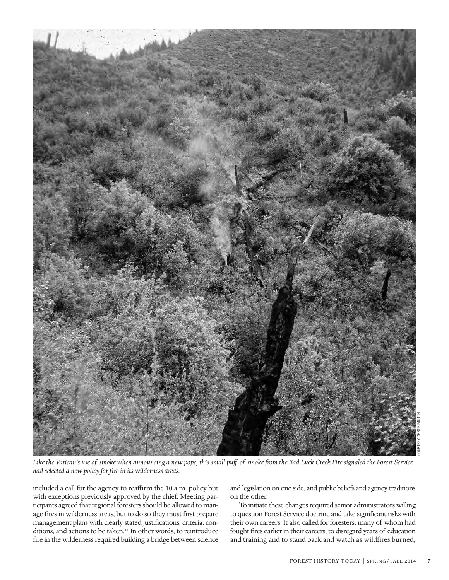

COURTESY OF BOB MUTCH

*Like the Vatican's use of smoke when announcing a new pope, this small puff of smoke from the Bad Luck Creek Fire signaled the Forest Service had selected a new policy for fire in its wilderness areas.*

included a call for the agency to reaffirm the 10 a.m. policy but with exceptions previously approved by the chief. Meeting participants agreed that regional foresters should be allowed to manage fires in wilderness areas, but to do so they must first prepare management plans with clearly stated justifications, criteria, conditions, and actions to be taken.<sup>11</sup> In other words, to reintroduce fire in the wilderness required building a bridge between science

and legislation on one side, and public beliefs and agency traditions on the other.

To initiate these changes required senior administrators willing to question Forest Service doctrine and take significant risks with their own careers. It also called for foresters, many of whom had fought fires earlier in their careers, to disregard years of education and training and to stand back and watch as wildfires burned,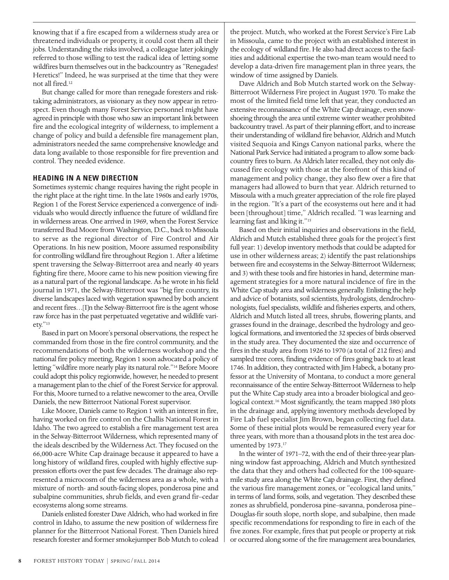knowing that if a fire escaped from a wilderness study area or threatened individuals or property, it could cost them all their jobs. Understanding the risks involved, a colleague later jokingly referred to those willing to test the radical idea of letting some wildfires burn themselves out in the backcountry as "Renegades! Heretics!" Indeed, he was surprised at the time that they were not all fired.12

But change called for more than renegade foresters and risktaking administrators, as visionary as they now appear in retrospect. Even though many Forest Service personnel might have agreed in principle with those who saw an important link between fire and the ecological integrity of wilderness, to implement a change of policy and build a defensible fire management plan, administrators needed the same comprehensive knowledge and data long available to those responsible for fire prevention and control. They needed evidence.

#### **HEADING IN A NEW DIRECTION**

Sometimes systemic change requires having the right people in the right place at the right time. In the late 1960s and early 1970s, Region 1 of the Forest Service experienced a convergence of individuals who would directly influence the future of wildland fire in wilderness areas. One arrived in 1969, when the Forest Service transferred Bud Moore from Washington, D.C., back to Missoula to serve as the regional director of Fire Control and Air Operations. In his new position, Moore assumed responsibility for controlling wildland fire throughout Region 1. After a lifetime spent traversing the Selway-Bitterroot area and nearly 40 years fighting fire there, Moore came to his new position viewing fire as a natural part of the regional landscape. As he wrote in his field journal in 1971, the Selway-Bitterroot was "big fire country, its diverse landscapes laced with vegetation spawned by both ancient and recent fires…[I]n the Selway-Bitterroot fire is the agent whose raw force has in the past perpetuated vegetative and wildlife variety."13

Based in part on Moore's personal observations, the respect he commanded from those in the fire control community, and the recommendations of both the wilderness workshop and the national fire policy meeting, Region 1 soon advocated a policy of letting "wildfire more nearly play its natural role."14 Before Moore could adopt this policy regionwide, however, he needed to present a management plan to the chief of the Forest Service for approval. For this, Moore turned to a relative newcomer to the area, Orville Daniels, the new Bitterroot National Forest supervisor.

Like Moore, Daniels came to Region 1 with an interest in fire, having worked on fire control on the Challis National Forest in Idaho. The two agreed to establish a fire management test area in the Selway-Bitterroot Wilderness, which represented many of the ideals described by the Wilderness Act. They focused on the 66,000-acre White Cap drainage because it appeared to have a long history of wildland fires, coupled with highly effective suppression efforts over the past few decades. The drainage also represented a microcosm of the wilderness area as a whole, with a mixture of north- and south-facing slopes, ponderosa pine and subalpine communities, shrub fields, and even grand fir–cedar ecosystems along some streams.

Daniels enlisted forester Dave Aldrich, who had worked in fire control in Idaho, to assume the new position of wilderness fire planner for the Bitterroot National Forest. Then Daniels hired research forester and former smokejumper Bob Mutch to colead

the project. Mutch, who worked at the Forest Service's Fire Lab in Missoula, came to the project with an established interest in the ecology of wildland fire. He also had direct access to the facilities and additional expertise the two-man team would need to develop a data-driven fire management plan in three years, the window of time assigned by Daniels.

Dave Aldrich and Bob Mutch started work on the Selway-Bitterroot Wilderness Fire project in August 1970. To make the most of the limited field time left that year, they conducted an extensive reconnaissance of the White Cap drainage, even snowshoeing through the area until extreme winter weather prohibited backcountry travel. As part of their planning effort, and to increase their understanding of wildland fire behavior, Aldrich and Mutch visited Sequoia and Kings Canyon national parks, where the National Park Service had initiated a program to allow some backcountry fires to burn. As Aldrich later recalled, they not only discussed fire ecology with those at the forefront of this kind of management and policy change, they also flew over a fire that managers had allowed to burn that year. Aldrich returned to Missoula with a much greater appreciation of the role fire played in the region. "It's a part of the ecosystems out here and it had been [throughout] time," Aldrich recalled. "I was learning and learning fast and liking it."15

Based on their initial inquiries and observations in the field, Aldrich and Mutch established three goals for the project's first full year: 1) develop inventory methods that could be adapted for use in other wilderness areas; 2) identify the past relationships between fire and ecosystems in the Selway-Bitterroot Wilderness; and 3) with these tools and fire histories in hand, determine management strategies for a more natural incidence of fire in the White Cap study area and wilderness generally. Enlisting the help and advice of botanists, soil scientists, hydrologists, dendrochronologists, fuel specialists, wildlife and fisheries experts, and others, Aldrich and Mutch listed all trees, shrubs, flowering plants, and grasses found in the drainage, described the hydrology and geological formations, and inventoried the 32 species of birds observed in the study area. They documented the size and occurrence of fires in the study area from 1926 to 1970 (a total of 212 fires) and sampled tree cores, finding evidence of fires going back to at least 1746. In addition, they contracted with Jim Habeck, a botany professor at the University of Montana, to conduct a more general reconnaissance of the entire Selway-Bitterroot Wilderness to help put the White Cap study area into a broader biological and geological context.<sup>16</sup> Most significantly, the team mapped 380 plots in the drainage and, applying inventory methods developed by Fire Lab fuel specialist Jim Brown, began collecting fuel data. Some of these initial plots would be remeasured every year for three years, with more than a thousand plots in the test area documented by 1973.17

In the winter of 1971–72, with the end of their three-year planning window fast approaching, Aldrich and Mutch synthesized the data that they and others had collected for the 100-squaremile study area along the White Cap drainage. First, they defined the various fire management zones, or "ecological land units," in terms of land forms, soils, and vegetation. They described these zones as shrubfield, ponderosa pine–savanna, ponderosa pine– Douglas-fir south slope, north slope, and subalpine, then made specific recommendations for responding to fire in each of the five zones. For example, fires that put people or property at risk or occurred along some of the fire management area boundaries,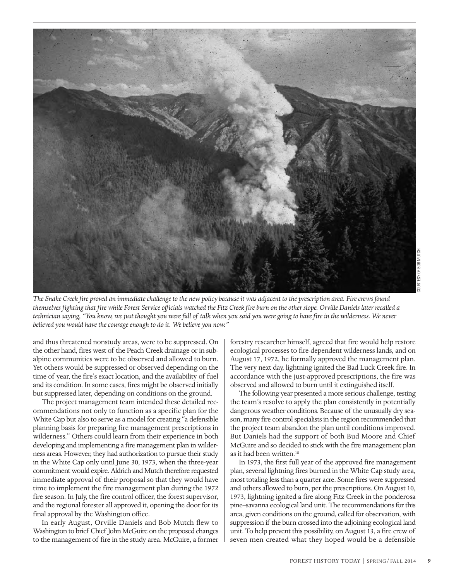

*The Snake Creek fire proved an immediate challenge to the new policy because it was adjacent to the prescription area. Fire crews found themselves fighting that fire while Forest Service officials watched the Fitz Creek fire burn on the other slope. Orville Daniels later recalled a technician saying, "You know, we just thought you were full of talk when you said you were going to have fire in the wilderness. We never believed you would have the courage enough to do it. We believe you now."*

and thus threatened nonstudy areas, were to be suppressed. On the other hand, fires west of the Peach Creek drainage or in subalpine communities were to be observed and allowed to burn. Yet others would be suppressed or observed depending on the time of year, the fire's exact location, and the availability of fuel and its condition. In some cases, fires might be observed initially but suppressed later, depending on conditions on the ground.

The project management team intended these detailed recommendations not only to function as a specific plan for the White Cap but also to serve as a model for creating "a defensible planning basis for preparing fire management prescriptions in wilderness." Others could learn from their experience in both developing and implementing a fire management plan in wilderness areas. However, they had authorization to pursue their study in the White Cap only until June 30, 1973, when the three-year commitment would expire. Aldrich and Mutch therefore requested immediate approval of their proposal so that they would have time to implement the fire management plan during the 1972 fire season. In July, the fire control officer, the forest supervisor, and the regional forester all approved it, opening the door for its final approval by the Washington office.

In early August, Orville Daniels and Bob Mutch flew to Washington to brief Chief John McGuire on the proposed changes to the management of fire in the study area. McGuire, a former

forestry researcher himself, agreed that fire would help restore ecological processes to fire-dependent wilderness lands, and on August 17, 1972, he formally approved the management plan. The very next day, lightning ignited the Bad Luck Creek fire. In accordance with the just-approved prescriptions, the fire was observed and allowed to burn until it extinguished itself.

The following year presented a more serious challenge, testing the team's resolve to apply the plan consistently in potentially dangerous weather conditions. Because of the unusually dry season, many fire control specialists in the region recommended that the project team abandon the plan until conditions improved. But Daniels had the support of both Bud Moore and Chief McGuire and so decided to stick with the fire management plan as it had been written.<sup>18</sup>

In 1973, the first full year of the approved fire management plan, several lightning fires burned in the White Cap study area, most totaling less than a quarter acre. Some fires were suppressed and others allowed to burn, per the prescriptions. On August 10, 1973, lightning ignited a fire along Fitz Creek in the ponderosa pine–savanna ecological land unit. The recommendations for this area, given conditions on the ground, called for observation, with suppression if the burn crossed into the adjoining ecological land unit. To help prevent this possibility, on August 13, a fire crew of seven men created what they hoped would be a defensible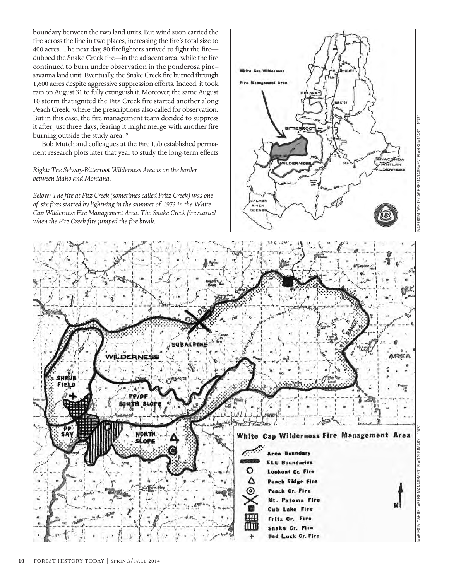boundary between the two land units. But wind soon carried the fire across the line in two places, increasing the fire's total size to 400 acres. The next day, 80 firefighters arrived to fight the fire dubbed the Snake Creek fire—in the adjacent area, while the fire continued to burn under observation in the ponderosa pine– savanna land unit. Eventually, the Snake Creek fire burned through 1,600 acres despite aggressive suppression efforts. Indeed, it took rain on August 31 to fully extinguish it. Moreover, the same August 10 storm that ignited the Fitz Creek fire started another along Peach Creek, where the prescriptions also called for observation. But in this case, the fire management team decided to suppress it after just three days, fearing it might merge with another fire burning outside the study area.<sup>19</sup>

Bob Mutch and colleagues at the Fire Lab established permanent research plots later that year to study the long-term effects

#### *Right: The Selway-Bitterroot Wilderness Area is on the border between Idaho and Montana.*

*Below: The fire at Fitz Creek (sometimes called Fritz Creek) was one of six fires started by lightning in the summer of 1973 in the White Cap Wilderness Fire Management Area. The Snake Creek fire started when the Fitz Creek fire jumped the fire break.*





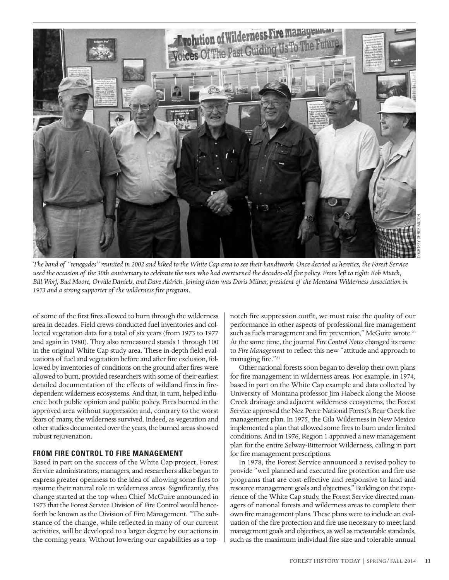

*The band of "renegades" reunited in 2002 and hiked to the White Cap area to see their handiwork. Once decried as heretics, the Forest Service used the occasion of the 30th anniversary to celebrate the men who had overturned the decades-old fire policy. From left to right: Bob Mutch, Bill Worf, Bud Moore, Orville Daniels, and Dave Aldrich. Joining them was Doris Milner, president of the Montana Wilderness Association in 1973 and a strong supporter of the wilderness fire program.*

of some of the first fires allowed to burn through the wilderness area in decades. Field crews conducted fuel inventories and collected vegetation data for a total of six years (from 1973 to 1977 and again in 1980). They also remeasured stands 1 through 100 in the original White Cap study area. These in-depth field evaluations of fuel and vegetation before and after fire exclusion, followed by inventories of conditions on the ground after fires were allowed to burn, provided researchers with some of their earliest detailed documentation of the effects of wildland fires in firedependent wilderness ecosystems. And that, in turn, helped influence both public opinion and public policy. Fires burned in the approved area without suppression and, contrary to the worst fears of many, the wilderness survived. Indeed, as vegetation and other studies documented over the years, the burned areas showed robust rejuvenation.

#### **FROM FIRE CONTROL TO FIRE MANAGEMENT**

Based in part on the success of the White Cap project, Forest Service administrators, managers, and researchers alike began to express greater openness to the idea of allowing some fires to resume their natural role in wilderness areas. Significantly, this change started at the top when Chief McGuire announced in 1973 that the Forest Service Division of Fire Control would henceforth be known as the Division of Fire Management. "The substance of the change, while reflected in many of our current activities, will be developed to a larger degree by our actions in the coming years. Without lowering our capabilities as a topnotch fire suppression outfit, we must raise the quality of our performance in other aspects of professional fire management such as fuels management and fire prevention," McGuire wrote.<sup>20</sup> At the same time, the journal *Fire Control Notes* changed its name to *Fire Management* to reflect this new "attitude and approach to managing fire."<sup>21</sup>

Other national forests soon began to develop their own plans for fire management in wilderness areas. For example, in 1974, based in part on the White Cap example and data collected by University of Montana professor Jim Habeck along the Moose Creek drainage and adjacent wilderness ecosystems, the Forest Service approved the Nez Perce National Forest's Bear Creek fire management plan. In 1975, the Gila Wilderness in New Mexico implemented a plan that allowed some fires to burn under limited conditions. And in 1976, Region 1 approved a new management plan for the entire Selway-Bitterroot Wilderness, calling in part for fire management prescriptions.

In 1978, the Forest Service announced a revised policy to provide "well planned and executed fire protection and fire use programs that are cost-effective and responsive to land and resource management goals and objectives." Building on the experience of the White Cap study, the Forest Service directed managers of national forests and wilderness areas to complete their own fire management plans. These plans were to include an evaluation of the fire protection and fire use necessary to meet land management goals and objectives, as well as measurable standards, such as the maximum individual fire size and tolerable annual